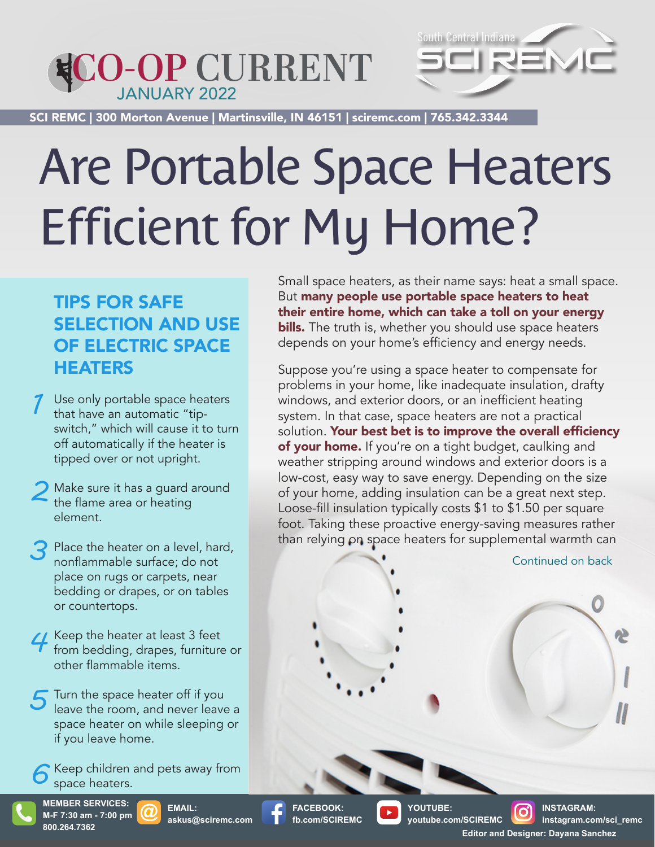## JANUARY 2022 **CO-OP CURRENT**



SCI REMC | 300 Morton Avenue | Martinsville, IN 46151 | sciremc.com | 765.342.3344 SCI REMC | 300 Morton Avenue | Martinsville, IN 46151 | sciremc.com | 765.342.3344

# Are Portable Space Heaters Efficient for My Home?

### TIPS FOR SAFE SELECTION AND USE OF ELECTRIC SPACE **HEATERS**

- Use only portable space heaters that have an automatic "tipswitch," which will cause it to turn off automatically if the heater is tipped over or not upright. *1*
- Make sure it has a guard around the flame area or heating element. *2*
- Place the heater on a level, hard, nonflammable surface; do not place on rugs or carpets, near bedding or drapes, or on tables or countertops. *3*
- **4** Keep the heater at least 3 feet from bedding, drapes, furniture from bedding, drapes, furniture or other flammable items.
- Turn the space heater off if you leave the room, and never leave a space heater on while sleeping or if you leave home. *5*
- Keep children and pets away from space heaters. *6*

**MEMBER SERVICES: M-F 7:30 am - 7:00 pm 800.264.7362**

**EMAIL: askus@sciremc.com**

Small space heaters, as their name says: heat a small space. But many people use portable space heaters to heat their entire home, which can take a toll on your energy bills. The truth is, whether you should use space heaters depends on your home's efficiency and energy needs.

Suppose you're using a space heater to compensate for problems in your home, like inadequate insulation, drafty windows, and exterior doors, or an inefficient heating system. In that case, space heaters are not a practical solution. Your best bet is to improve the overall efficiency of your home. If you're on a tight budget, caulking and weather stripping around windows and exterior doors is a low-cost, easy way to save energy. Depending on the size of your home, adding insulation can be a great next step. Loose-fill insulation typically costs \$1 to \$1.50 per square foot. Taking these proactive energy-saving measures rather than relying on space heaters for supplemental warmth can

Continued on back

**FACEBOOK: fb.com/SCIREMC**

**YOUTUBE: youtube.com/SCIREMC**

**INSTAGRAM: instagram.com/sci\_remc Editor and Designer: Dayana Sanchez**